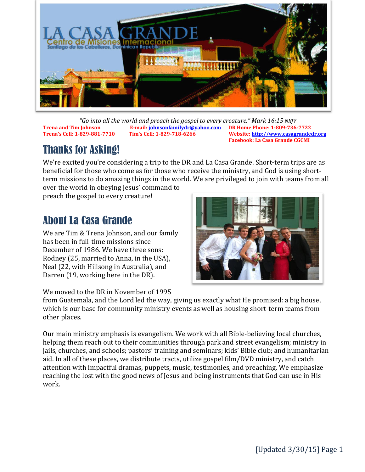

*"Go into all the world and preach the gospel to every creature." Mark 16:15 NKJV* **Trena and Tim Johnson E-mail[: johnsonfamilydr@yahoo.com](mailto:johnsonfamilydr@yahoo.com) DR Home Phone: 1-809-736-7722**

**Trena's Cell: 1-829-881-7710 Tim's Cell: 1-829-718-6266 Website: [http://www.casagrandedr.org](http://www.casagrandedr.org/) Facebook: La Casa Grande CGCMI**

# Thanks for Asking!

We're excited you're considering a trip to the DR and La Casa Grande. Short-term trips are as beneficial for those who come as for those who receive the ministry, and God is using shortterm missions to do amazing things in the world. We are privileged to join with teams from all

over the world in obeying Jesus' command to preach the gospel to every creature!

# About La Casa Grande

We are Tim & Trena Johnson, and our family has been in full-time missions since December of 1986. We have three sons: Rodney (25, married to Anna, in the USA), Neal (22, with Hillsong in Australia), and Darren (19, working here in the DR).

We moved to the DR in November of 1995



from Guatemala, and the Lord led the way, giving us exactly what He promised: a big house, which is our base for community ministry events as well as housing short-term teams from other places.

Our main ministry emphasis is evangelism. We work with all Bible-believing local churches, helping them reach out to their communities through park and street evangelism; ministry in jails, churches, and schools; pastors' training and seminars; kids' Bible club; and humanitarian aid. In all of these places, we distribute tracts, utilize gospel film/DVD ministry, and catch attention with impactful dramas, puppets, music, testimonies, and preaching. We emphasize reaching the lost with the good news of Jesus and being instruments that God can use in His work.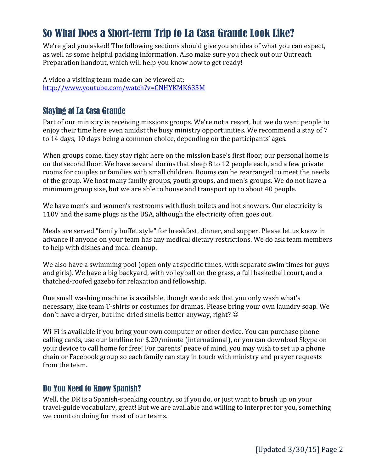# So What Does a Short-term Trip to La Casa Grande Look Like?

We're glad you asked! The following sections should give you an idea of what you can expect, as well as some helpful packing information. Also make sure you check out our Outreach Preparation handout, which will help you know how to get ready!

A video a visiting team made can be viewed at: <http://www.youtube.com/watch?v=CNHYKMK635M>

## Staying at La Casa Grande

Part of our ministry is receiving missions groups. We're not a resort, but we do want people to enjoy their time here even amidst the busy ministry opportunities. We recommend a stay of 7 to 14 days, 10 days being a common choice, depending on the participants' ages.

When groups come, they stay right here on the mission base's first floor; our personal home is on the second floor. We have several dorms that sleep 8 to 12 people each, and a few private rooms for couples or families with small children. Rooms can be rearranged to meet the needs of the group. We host many family groups, youth groups, and men's groups. We do not have a minimum group size, but we are able to house and transport up to about 40 people.

We have men's and women's restrooms with flush toilets and hot showers. Our electricity is 110V and the same plugs as the USA, although the electricity often goes out.

Meals are served "family buffet style" for breakfast, dinner, and supper. Please let us know in advance if anyone on your team has any medical dietary restrictions. We do ask team members to help with dishes and meal cleanup.

We also have a swimming pool (open only at specific times, with separate swim times for guys and girls). We have a big backyard, with volleyball on the grass, a full basketball court, and a thatched-roofed gazebo for relaxation and fellowship.

One small washing machine is available, though we do ask that you only wash what's necessary, like team T-shirts or costumes for dramas. Please bring your own laundry soap. We don't have a dryer, but line-dried smells better anyway, right?

Wi-Fi is available if you bring your own computer or other device. You can purchase phone calling cards, use our landline for \$.20/minute (international), or you can download Skype on your device to call home for free! For parents' peace of mind, you may wish to set up a phone chain or Facebook group so each family can stay in touch with ministry and prayer requests from the team.

### Do You Need to Know Spanish?

Well, the DR is a Spanish-speaking country, so if you do, or just want to brush up on your travel-guide vocabulary, great! But we are available and willing to interpret for you, something we count on doing for most of our teams.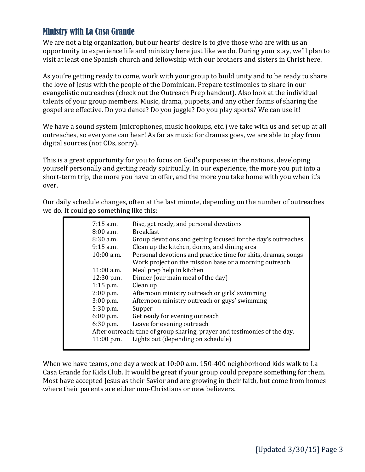## Ministry with La Casa Grande

We are not a big organization, but our hearts' desire is to give those who are with us an opportunity to experience life and ministry here just like we do. During your stay, we'll plan to visit at least one Spanish church and fellowship with our brothers and sisters in Christ here.

As you're getting ready to come, work with your group to build unity and to be ready to share the love of Jesus with the people of the Dominican. Prepare testimonies to share in our evangelistic outreaches (check out the Outreach Prep handout). Also look at the individual talents of your group members. Music, drama, puppets, and any other forms of sharing the gospel are effective. Do you dance? Do you juggle? Do you play sports? We can use it!

We have a sound system (microphones, music hookups, etc.) we take with us and set up at all outreaches, so everyone can hear! As far as music for dramas goes, we are able to play from digital sources (not CDs, sorry).

This is a great opportunity for you to focus on God's purposes in the nations, developing yourself personally and getting ready spiritually. In our experience, the more you put into a short-term trip, the more you have to offer, and the more you take home with you when it's over.

Our daily schedule changes, often at the last minute, depending on the number of outreaches we do. It could go something like this:

| $7:15$ a.m.  | Rise, get ready, and personal devotions                                   |
|--------------|---------------------------------------------------------------------------|
| $8:00$ a.m.  | <b>Breakfast</b>                                                          |
| $8:30$ a.m.  | Group devotions and getting focused for the day's outreaches              |
| $9:15$ a.m.  | Clean up the kitchen, dorms, and dining area                              |
| $10:00$ a.m. | Personal devotions and practice time for skits, dramas, songs             |
|              | Work project on the mission base or a morning outreach                    |
| $11:00$ a.m. | Meal prep help in kitchen                                                 |
| $12:30$ p.m. | Dinner (our main meal of the day)                                         |
| $1:15$ p.m.  | Clean up                                                                  |
| $2:00$ p.m.  | Afternoon ministry outreach or girls' swimming                            |
| $3:00$ p.m.  | Afternoon ministry outreach or guys' swimming                             |
| $5:30$ p.m.  | Supper                                                                    |
| $6:00$ p.m.  | Get ready for evening outreach                                            |
| $6:30$ p.m.  | Leave for evening outreach                                                |
|              | After outreach: time of group sharing, prayer and testimonies of the day. |
| $11:00$ p.m. | Lights out (depending on schedule)                                        |
|              |                                                                           |

When we have teams, one day a week at 10:00 a.m. 150-400 neighborhood kids walk to La Casa Grande for Kids Club. It would be great if your group could prepare something for them. Most have accepted Jesus as their Savior and are growing in their faith, but come from homes where their parents are either non-Christians or new believers.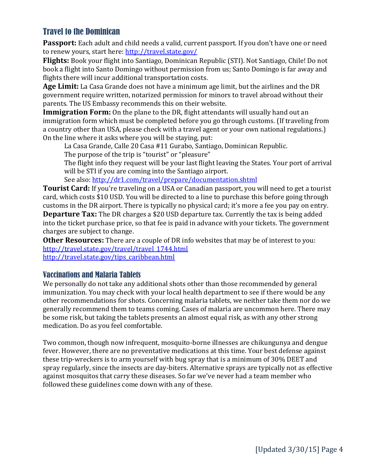## Travel to the Dominican

**Passport:** Each adult and child needs a valid, current passport. If you don't have one or need to renew yours, start here:<http://travel.state.gov/>

**Flights:** Book your flight into Santiago, Dominican Republic (STI). Not Santiago, Chile! Do not book a flight into Santo Domingo without permission from us; Santo Domingo is far away and flights there will incur additional transportation costs.

**Age Limit:** La Casa Grande does not have a minimum age limit, but the airlines and the DR government require written, notarized permission for minors to travel abroad without their parents. The US Embassy recommends this on their website.

**Immigration Form:** On the plane to the DR, flight attendants will usually hand out an immigration form which must be completed before you go through customs. (If traveling from a country other than USA, please check with a travel agent or your own national regulations.) On the line where it asks where you will be staying, put:

La Casa Grande, Calle 20 Casa #11 Gurabo, Santiago, Dominican Republic. The purpose of the trip is "tourist" or "pleasure"

The flight info they request will be your last flight leaving the States. Your port of arrival

will be STI if you are coming into the Santiago airport.

See also[: http://dr1.com/travel/prepare/documentation.shtml](http://dr1.com/travel/prepare/documentation.shtml)

**Tourist Card:** If you're traveling on a USA or Canadian passport, you will need to get a tourist card, which costs \$10 USD. You will be directed to a line to purchase this before going through customs in the DR airport. There is typically no physical card; it's more a fee you pay on entry. **Departure Tax:** The DR charges a \$20 USD departure tax. Currently the tax is being added into the ticket purchase price, so that fee is paid in advance with your tickets. The government charges are subject to change.

**Other Resources:** There are a couple of DR info websites that may be of interest to you: [http://travel.state.gov/travel/travel\\_1744.html](http://travel.state.gov/travel/travel_1744.html) [http://travel.state.gov/tips\\_caribbean.html](http://travel.state.gov/tips_caribbean.html)

### Vaccinations and Malaria Tablets

We personally do not take any additional shots other than those recommended by general immunization. You may check with your local health department to see if there would be any other recommendations for shots. Concerning malaria tablets, we neither take them nor do we generally recommend them to teams coming. Cases of malaria are uncommon here. There may be some risk, but taking the tablets presents an almost equal risk, as with any other strong medication. Do as you feel comfortable.

Two common, though now infrequent, mosquito-borne illnesses are chikungunya and dengue fever. However, there are no preventative medications at this time. Your best defense against these trip-wreckers is to arm yourself with bug spray that is a minimum of 30% DEET and spray regularly, since the insects are day-biters. Alternative sprays are typically not as effective against mosquitos that carry these diseases. So far we've never had a team member who followed these guidelines come down with any of these.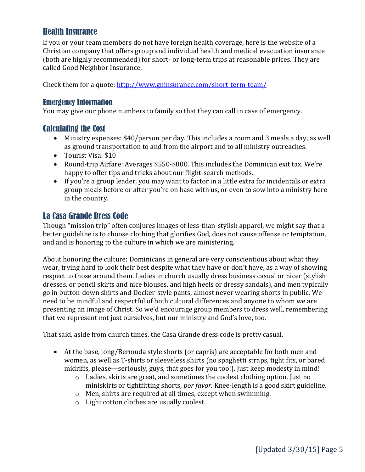## Health Insurance

If you or your team members do not have foreign health coverage, here is the website of a Christian company that offers group and individual health and medical evacuation insurance (both are highly recommended) for short- or long-term trips at reasonable prices. They are called Good Neighbor Insurance.

Check them for a quote: <http://www.gninsurance.com/short-term-team/>

### Emergency Information

You may give our phone numbers to family so that they can call in case of emergency.

### Calculating the Cost

- Ministry expenses: \$40/person per day. This includes a room and 3 meals a day, as well as ground transportation to and from the airport and to all ministry outreaches.
- Tourist Visa: \$10
- Round-trip Airfare: Averages \$550-\$800. This includes the Dominican exit tax. We're happy to offer tips and tricks about our flight-search methods.
- If you're a group leader, you may want to factor in a little extra for incidentals or extra group meals before or after you're on base with us, or even to sow into a ministry here in the country.

## La Casa Grande Dress Code

Though "mission trip" often conjures images of less-than-stylish apparel, we might say that a better guideline is to choose clothing that glorifies God, does not cause offense or temptation, and and is honoring to the culture in which we are ministering.

About honoring the culture: Dominicans in general are very conscientious about what they wear, trying hard to look their best despite what they have or don't have, as a way of showing respect to those around them. Ladies in church usually dress business casual or nicer (stylish dresses, or pencil skirts and nice blouses, and high heels or dressy sandals), and men typically go in button-down shirts and Docker-style pants, almost never wearing shorts in public. We need to be mindful and respectful of both cultural differences and anyone to whom we are presenting an image of Christ. So we'd encourage group members to dress well, remembering that we represent not just ourselves, but our ministry and God's love, too.

That said, aside from church times, the Casa Grande dress code is pretty casual.

- At the base, long/Bermuda style shorts (or capris) are acceptable for both men and women, as well as T-shirts or sleeveless shirts (no spaghetti straps, tight fits, or bared midriffs, please—seriously, guys, that goes for you too!). Just keep modesty in mind!
	- o Ladies, skirts are great, and sometimes the coolest clothing option. Just no miniskirts or tightfitting shorts, *por favor.* Knee-length is a good skirt guideline.
	- o Men, shirts are required at all times, except when swimming.
	- o Light cotton clothes are usually coolest.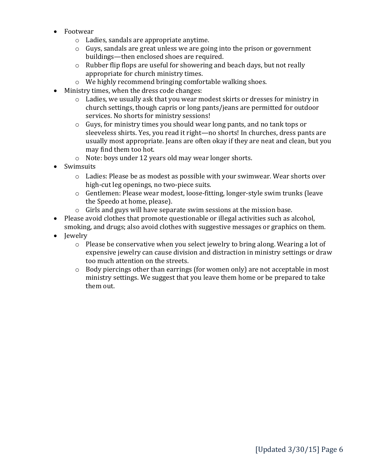- Footwear
	- o Ladies, sandals are appropriate anytime.
	- o Guys, sandals are great unless we are going into the prison or government buildings—then enclosed shoes are required.
	- o Rubber flip flops are useful for showering and beach days, but not really appropriate for church ministry times.
	- o We highly recommend bringing comfortable walking shoes.
- Ministry times, when the dress code changes:
	- o Ladies, we usually ask that you wear modest skirts or dresses for ministry in church settings, though capris or long pants/jeans are permitted for outdoor services. No shorts for ministry sessions!
	- o Guys, for ministry times you should wear long pants, and no tank tops or sleeveless shirts. Yes, you read it right—no shorts! In churches, dress pants are usually most appropriate. Jeans are often okay if they are neat and clean, but you may find them too hot.
	- o Note: boys under 12 years old may wear longer shorts.
- Swimsuits
	- o Ladies: Please be as modest as possible with your swimwear. Wear shorts over high-cut leg openings, no two-piece suits.
	- o Gentlemen: Please wear modest, loose-fitting, longer-style swim trunks (leave the Speedo at home, please).
	- o Girls and guys will have separate swim sessions at the mission base.
- Please avoid clothes that promote questionable or illegal activities such as alcohol, smoking, and drugs; also avoid clothes with suggestive messages or graphics on them.
- Jewelry
	- $\circ$  Please be conservative when you select jewelry to bring along. Wearing a lot of expensive jewelry can cause division and distraction in ministry settings or draw too much attention on the streets.
	- o Body piercings other than earrings (for women only) are not acceptable in most ministry settings. We suggest that you leave them home or be prepared to take them out.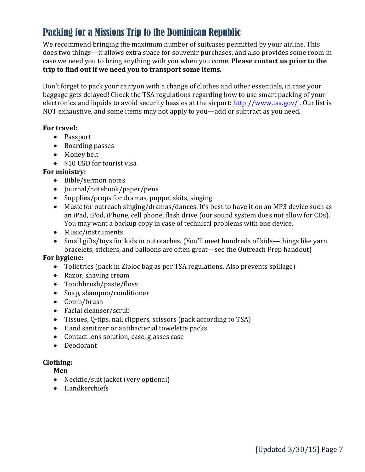## Packing for a Missions Trip to the Dominican Republic

We recommend bringing the maximum number of suitcases permitted by your airline. This does two things—it allows extra space for souvenir purchases, and also provides some room in case we need you to bring anything with you when you come. **Please contact us prior to the trip to find out if we need you to transport some items.**

Don't forget to pack your carryon with a change of clothes and other essentials, in case your baggage gets delayed! Check the TSA regulations regarding how to use smart packing of your electronics and liquids to avoid security hassles at the airport:<http://www.tsa.gov/>. Our list is NOT exhaustive, and some items may not apply to you—add or subtract as you need.

#### **For travel:**

- Passport
- Boarding passes
- Money belt
- \$10 USD for tourist visa

### **For ministry:**

- Bible/sermon notes
- Journal/notebook/paper/pens
- Supplies/props for dramas, puppet skits, singing
- Music for outreach singing/dramas/dances. It's best to have it on an MP3 device such as an iPad, iPod, iPhone, cell phone, flash drive (our sound system does not allow for CDs). You may want a backup copy in case of technical problems with one device.
- Music/instruments
- Small gifts/toys for kids in outreaches. (You'll meet hundreds of kids—things like yarn bracelets, stickers, and balloons are often great—see the Outreach Prep handout)

### **For hygiene:**

- Toiletries (pack in Ziploc bag as per TSA regulations. Also prevents spillage)
- Razor, shaving cream
- Toothbrush/paste/floss
- Soap, shampoo/conditioner
- Comb/brush
- Facial cleanser/scrub
- Tissues, Q-tips, nail clippers, scissors (pack according to TSA)
- Hand sanitizer or antibacterial towelette packs
- Contact lens solution, case, glasses case
- Deodorant

### **Clothing:**

**Men**

- Necktie/suit jacket (very optional)
- Handkerchiefs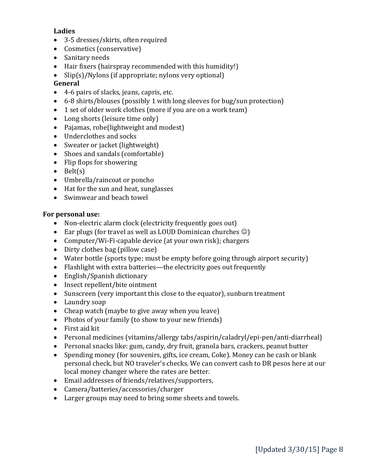### **Ladies**

- 3-5 dresses/skirts, often required
- Cosmetics (conservative)
- Sanitary needs
- Hair fixers (hairspray recommended with this humidity!)
- Slip(s)/Nylons (if appropriate; nylons very optional)

### **General**

- 4-6 pairs of slacks, jeans, capris, etc.
- 6-8 shirts/blouses (possibly 1 with long sleeves for bug/sun protection)
- 1 set of older work clothes (more if you are on a work team)
- Long shorts (leisure time only)
- Pajamas, robe(lightweight and modest)
- Underclothes and socks
- Sweater or jacket (lightweight)
- Shoes and sandals (comfortable)
- Flip flops for showering
- $\bullet$  Belt(s)
- Umbrella/raincoat or poncho
- Hat for the sun and heat, sunglasses
- Swimwear and beach towel

### **For personal use:**

- Non-electric alarm clock (electricity frequently goes out)
- Ear plugs (for travel as well as LOUD Dominican churches  $\circledcirc$ )
- Computer/Wi-Fi-capable device (at your own risk); chargers
- Dirty clothes bag (pillow case)
- Water bottle (sports type; must be empty before going through airport security)
- Flashlight with extra batteries—the electricity goes out frequently
- English/Spanish dictionary
- Insect repellent/bite ointment
- Sunscreen (very important this close to the equator), sunburn treatment
- Laundry soap
- Cheap watch (maybe to give away when you leave)
- Photos of your family (to show to your new friends)
- First aid kit
- Personal medicines (vitamins/allergy tabs/aspirin/caladryl/epi-pen/anti-diarrheal)
- Personal snacks like: gum, candy, dry fruit, granola bars, crackers, peanut butter
- Spending money (for souvenirs, gifts, ice cream, Coke). Money can be cash or blank personal check, but NO traveler's checks. We can convert cash to DR pesos here at our local money changer where the rates are better.
- Email addresses of friends/relatives/supporters,
- Camera/batteries/accessories/charger
- Larger groups may need to bring some sheets and towels.